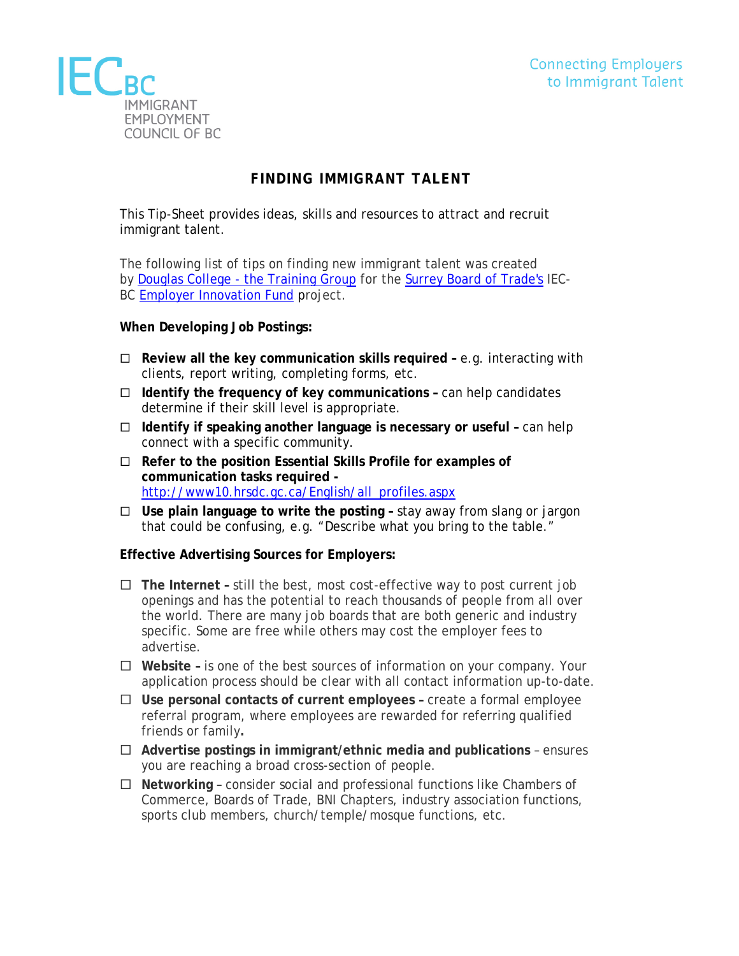

## **FINDING IMMIGRANT TALENT**

This Tip-Sheet provides ideas, skills and resources to attract and recruit immigrant talent.

The following list of tips on finding new immigrant talent was created by Douglas College - [the Training Group](http://www.douglas.bc.ca/training-community-education.html) for the [Surrey Board of Trade's](http://www.businessinsurrey.com/program-overview/) IEC-BC [Employer Innovation Fund](http://www.iecbc.ca/our-initiatives/employer-innovation-fund/eif-funded-projects) project.

## **When Developing Job Postings:**

- **Review all the key communication skills required –** e.g. interacting with clients, report writing, completing forms, etc.
- **Identify the frequency of key communications –** can help candidates determine if their skill level is appropriate.
- **Identify if speaking another language is necessary or useful –** can help connect with a specific community.
- **Refer to the position Essential Skills Profile for examples of communication tasks required**  [http://www10.hrsdc.gc.ca/English/all\\_profiles.aspx](http://www10.hrsdc.gc.ca/English/all_profiles.aspx)
- **Use plain language to write the posting –** stay away from slang or jargon that could be confusing, e.g. "Describe what you bring to the table."

## **Effective Advertising Sources for Employers:**

- **The Internet –** still the best, most cost-effective way to post current job openings and has the potential to reach thousands of people from all over the world. There are many job boards that are both generic and industry specific. Some are free while others may cost the employer fees to advertise.
- **Website –** is one of the best sources of information on your company. Your application process should be clear with all contact information up-to-date.
- **Use personal contacts of current employees –** create a formal employee referral program, where employees are rewarded for referring qualified friends or family**.**
- **Advertise postings in immigrant/ethnic media and publications**  ensures you are reaching a broad cross-section of people.
- **Networking**  consider social and professional functions like Chambers of Commerce, Boards of Trade, BNI Chapters, industry association functions, sports club members, church/temple/mosque functions, etc.